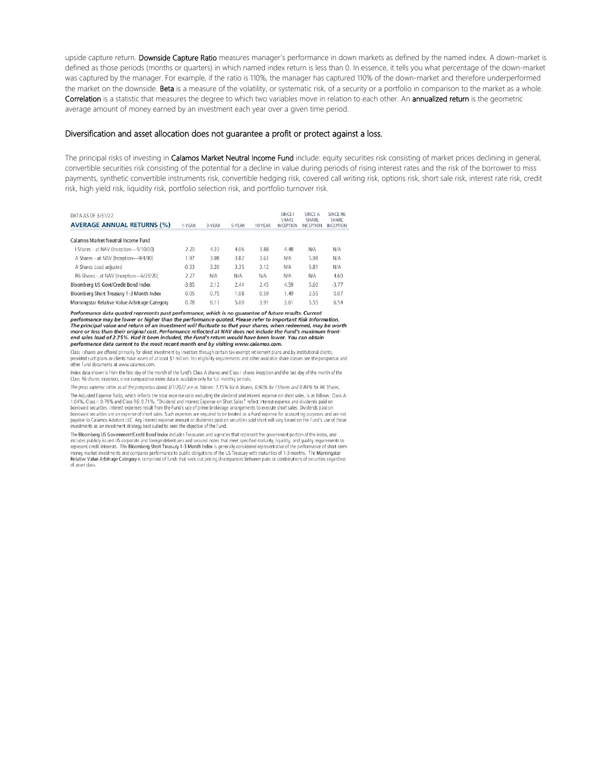upside capture return. Downside Capture Ratio measures manager's performance in down markets as defined by the named index. A down-market is defined as those periods (months or quarters) in which named index return is less than 0. In essence, it tells you what percentage of the down-market was captured by the manager. For example, if the ratio is 110%, the manager has captured 110% of the down-market and therefore underperformed the market on the downside. Beta is a measure of the volatility, or systematic risk, of a security or a portfolio in comparison to the market as a whole. Correlation is a statistic that measures the degree to which two variables move in relation to each other. An annualized return is the geometric average amount of money earned by an investment each year over a given time period.

## Diversification and asset allocation does not guarantee a profit or protect against a loss.

The principal risks of investing in Calamos Market Neutral Income Fund include: equity securities risk consisting of market prices declining in general, convertible securities risk consisting of the potential for a decline in value during periods of rising interest rates and the risk of the borrower to miss payments, synthetic convertible instruments risk, convertible hedging risk, covered call writing risk, options risk, short sale risk, interest rate risk, credit risk, high yield risk, liquidity risk, portfolio selection risk, and portfolio turnover risk.

| DATA AS OF 3/31/22                            |         |        |        |         | SINCE I<br>SHARF  | <b>SINCE A</b><br>SHARF | <b>SINCE R6</b><br>SHARF |
|-----------------------------------------------|---------|--------|--------|---------|-------------------|-------------------------|--------------------------|
| <b>AVERAGE ANNUAL RETURNS (%)</b>             | 1-YEAR  | 3-YEAR | 5-YEAR | 10-YEAR | <b>IN CEPTION</b> | <b>INCEPTION</b>        | <b>INCEPTION</b>         |
| Calamos Market Neutral Income Fund            |         |        |        |         |                   |                         |                          |
| I Shares - at NAV (Inception-5/10/00)         | 2.20    | 4.22   | 4.06   | 3.88    | 4.48              | N/A                     | N/A                      |
| A Shares - at NAV (Inception-9/4/90)          | 1.97    | 3.98   | 3.82   | 3.63    | N/A               | 5.98                    | N/A                      |
| A Shares Load adjusted                        | $-0.33$ | 3.20   | 3.35   | 3.12    | N/A               | 5.81                    | N/A                      |
| R6 Shares - at NAV (Inception-6/23/20)        | 2.27    | N/A    | N/A    | N/A     | N/A               | N/A                     | 4.60                     |
| Bloomberg US Govt/Credit Bond Index           | $-3.85$ | 2.12   | 2.44   | 2.45    | 4.59              | 5.60                    | $-3.77$                  |
| Bloomberg Short Treasury 1-3 Month Index      | 0.05    | 0.75   | 1.08   | 0.59    | 1.49              | 2.55                    | 0.07                     |
| Morningstar Relative Value Arbitrage Category | 0.78    | 6.11   | 5.00   | 3.91    | 3.61              | 5.55                    | 6.54                     |

Performance data quoted represents past performance, which is no guarantee of future results. Current<br>performance may be lower or higher than the performance quoted. Please refer to Important Risk Information.<br>The principa performance data current to the most recent month end by visiting www.calamos.com.

Class I shares are offered primarily for direct investment by investors through certain tax-exempt retirement plans and by institutional clients, provided such plans or clients have assets of at least \$1 million. For eligibility requirements and other available share classes see the prospectus and other Fund documents at www.calamos.com.

Index data shown is from the first day of the month of the fund's Class A shares and Class I shares inception and the last day of the month of the Class R6 shares inception, since comparative index data is available only for full monthly periods.

The gross expense ratios as of the prospectus dated 3/1/2022 are as follows: 1.15% for A Shares, 0.90% for I Shares and 0.84% for R6 Shares The Adjusted Expense Ratio, which reflects the total expense ratio excluding the dividend and interest expense on short sales, is as follows: Class A:

1.04%, Class I: 0.79% and Class R6: 0.71%. "Dividend and Interest Expense on Short Sales" reflect interest expense and dividends paid on for the securities. Interest expenses result from the Fund's use of prime brokerage arrangements to execute short sales. Dividends paid on<br>borrowed securities are an expense of short sales. Such expenses are required to be payable to Calamos Advisors LLC. Any interest expense amount or dividends paid on securities sold short will vary based on the Fund's use of those payable to Calamos Advisors LLC. Any interest expense amount or dividends p

The Bloomberg US Government/Credit Bond Index includes Treasuries and agencies that represent the government portion of the index, and includes publicly issued US corporate and foreign debentures and secured notes that meet specified maturity, liquidity, and quality requirements to represent credit interests. The Bloomberg Short Treasury 1-3 Month Index i money market investments and compares performance to public obligations of the US Treasury with maturities of 1-3 months. The Morningstar<br>Relative Value Arbitrage Category is comprised of funds that seek out pricing discre of asset class.